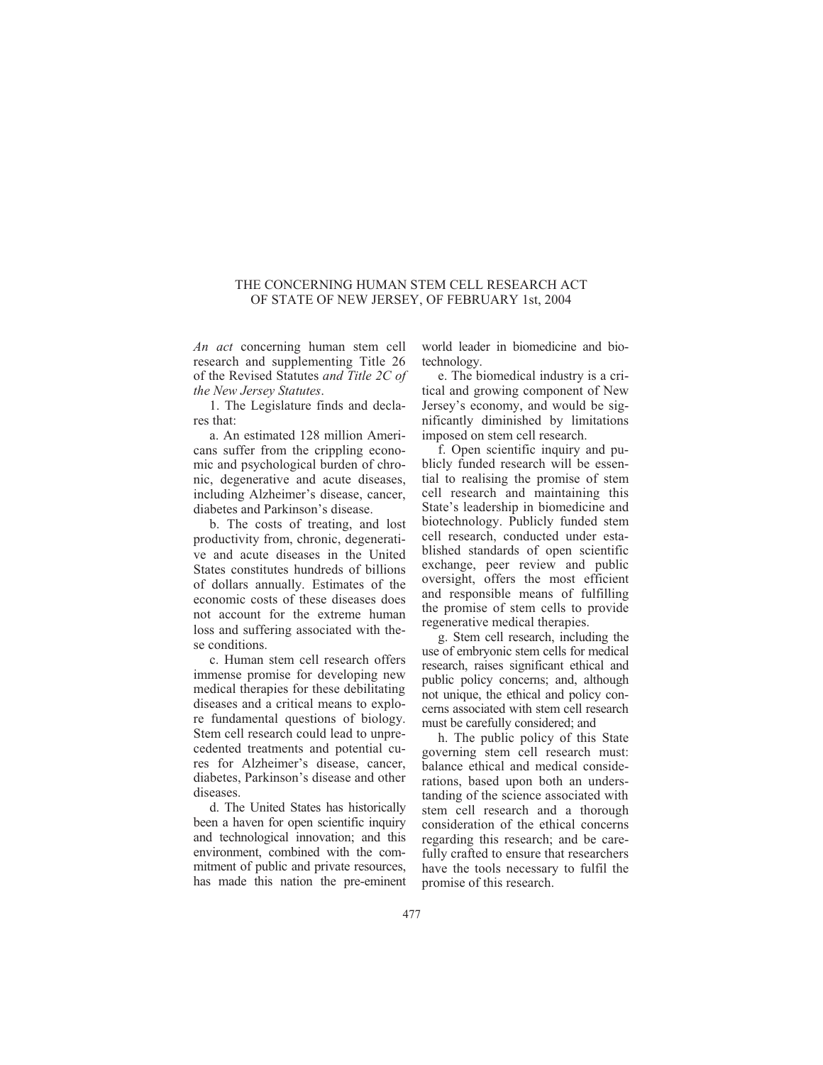## THE CONCERNING HUMAN STEM CELL RESEARCH ACT OF STATE OF NEW JERSEY, OF FEBRUARY 1st, 2004

*An act* concerning human stem cell research and supplementing Title 26 of the Revised Statutes *and Title 2C of the New Jersey Statutes*.

1. The Legislature finds and declares that:

a. An estimated 128 million Americans suffer from the crippling economic and psychological burden of chronic, degenerative and acute diseases, including Alzheimer's disease, cancer, diabetes and Parkinson's disease.

b. The costs of treating, and lost productivity from, chronic, degenerative and acute diseases in the United States constitutes hundreds of billions of dollars annually. Estimates of the economic costs of these diseases does not account for the extreme human loss and suffering associated with these conditions.

c. Human stem cell research offers immense promise for developing new medical therapies for these debilitating diseases and a critical means to explore fundamental questions of biology. Stem cell research could lead to unprecedented treatments and potential cures for Alzheimer's disease, cancer, diabetes, Parkinson's disease and other diseases.

d. The United States has historically been a haven for open scientific inquiry and technological innovation; and this environment, combined with the commitment of public and private resources, has made this nation the pre-eminent

world leader in biomedicine and biotechnology.

e. The biomedical industry is a critical and growing component of New Jersey's economy, and would be significantly diminished by limitations imposed on stem cell research.

f. Open scientific inquiry and publicly funded research will be essential to realising the promise of stem cell research and maintaining this State's leadership in biomedicine and biotechnology. Publicly funded stem cell research, conducted under established standards of open scientific exchange, peer review and public oversight, offers the most efficient and responsible means of fulfilling the promise of stem cells to provide regenerative medical therapies.

g. Stem cell research, including the use of embryonic stem cells for medical research, raises significant ethical and public policy concerns; and, although not unique, the ethical and policy concerns associated with stem cell research must be carefully considered; and

h. The public policy of this State governing stem cell research must: balance ethical and medical considerations, based upon both an understanding of the science associated with stem cell research and a thorough consideration of the ethical concerns regarding this research; and be carefully crafted to ensure that researchers have the tools necessary to fulfil the promise of this research.